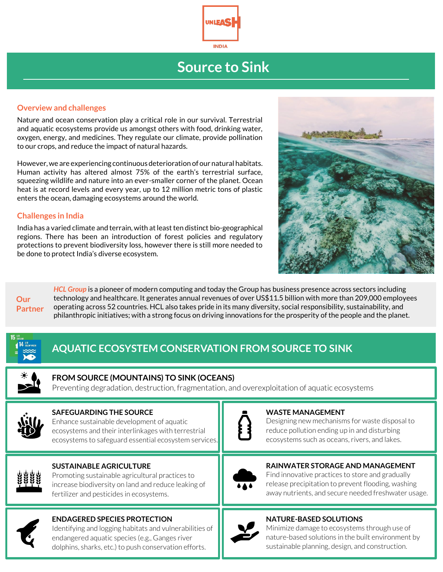

# **Source to Sink**

#### **Overview and challenges**

Nature and ocean conservation play a critical role in our survival. Terrestrial and aquatic ecosystems provide us amongst others with food, drinking water, oxygen, energy, and medicines. They regulate our climate, provide pollination to our crops, and reduce the impact of natural hazards.

However, we are experiencing continuous deterioration of our natural habitats. Human activity has altered almost 75% of the earth's terrestrial surface, squeezing wildlife and nature into an ever-smaller corner of the planet. Ocean heat is at record levels and every year, up to 12 million metric tons of plastic enters the ocean, damaging ecosystems around the world.

#### **Challenges in India**

India has a varied climate and terrain, with at least ten distinct bio-geographical regions. There has been an introduction of forest policies and regulatory protections to prevent biodiversity loss, however there is still more needed to be done to protect India's diverse ecosystem.





*HCL Group* is a pioneer of modern computing and today the Group has business presence across sectors including technology and healthcare. It generates annual revenues of over US\$11.5 billion with more than 209,000 employees operating across 52 countries. HCL also takes pride in its many diversity, social responsibility, sustainability, and philanthropic initiatives; with a strong focus on driving innovations for the prosperity of the people and the planet.

## **AQUATIC ECOSYSTEM CONSERVATION FROM SOURCE TO SINK**



#### **FROM SOURCE (MOUNTAINS) TO SINK (OCEANS)**

Preventing degradation, destruction, fragmentation, and overexploitation of aquatic ecosystems



#### **SAFEGUARDING THE SOURCE**

Enhance sustainable development of aquatic ecosystems and their interlinkages with terrestrial ecosystems to safeguard essential ecosystem services.



#### **SUSTAINABLE AGRICULTURE**

Promoting sustainable agricultural practices to increase biodiversity on land and reduce leaking of fertilizer and pesticides in ecosystems.



#### **ENDAGERED SPECIES PROTECTION**

Identifying and logging habitats and vulnerabilities of endangered aquatic species (e.g., Ganges river dolphins, sharks, etc.) to push conservation efforts.



#### **WASTE MANAGEMENT**

Designing new mechanisms for waste disposal to reduce pollution ending up in and disturbing ecosystems such as oceans, rivers, and lakes.



#### **RAINWATER STORAGE AND MANAGEMENT**

Find innovative practices to store and gradually release precipitation to prevent flooding, washing away nutrients, and secure needed freshwater usage.

### **NATURE-BASED SOLUTIONS**



Minimize damage to ecosystems through use of nature-based solutions in the built environment by sustainable planning, design, and construction.